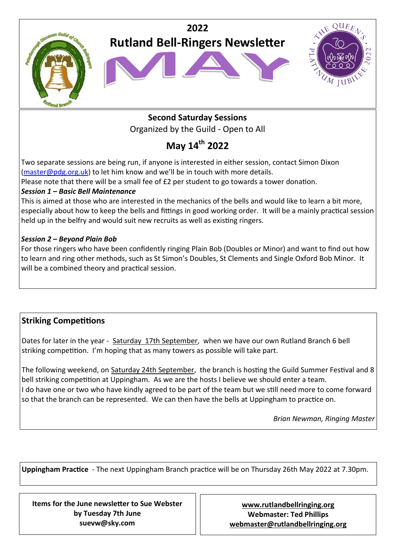

# **Second Saturday Sessions**  Organized by the Guild - Open to All

# **May 14th 2022**

Two separate sessions are being run, if anyone is interested in either session, contact Simon Dixon [\(master@pdg.org.uk\)](mailto:master@pdg.org.uk) to let him know and we'll be in touch with more details.

Please note that there will be a small fee of £2 per student to go towards a tower donation.

### *Session 1 – Basic Bell Maintenance*

This is aimed at those who are interested in the mechanics of the bells and would like to learn a bit more, especially about how to keep the bells and fittings in good working order. It will be a mainly practical session held up in the belfry and would suit new recruits as well as existing ringers.

### *Session 2 – Beyond Plain Bob*

For those ringers who have been confidently ringing Plain Bob (Doubles or Minor) and want to find out how to learn and ring other methods, such as St Simon's Doubles, St Clements and Single Oxford Bob Minor. It will be a combined theory and practical session.

# **Striking Competitions**

Dates for later in the year - Saturday 17th September, when we have our own Rutland Branch 6 bell striking competition. I'm hoping that as many towers as possible will take part.

The following weekend, on Saturday 24th September, the branch is hosting the Guild Summer Festival and 8 bell striking competition at Uppingham. As we are the hosts I believe we should enter a team. I do have one or two who have kindly agreed to be part of the team but we still need more to come forward so that the branch can be represented. We can then have the bells at Uppingham to practice on.

*Brian Newman, Ringing Master*

**Uppingham Practice** - The next Uppingham Branch practice will be on Thursday 26th May 2022 at 7.30pm.

**Items for the June newsletter to Sue Webster by Tuesday 7th June suevw@sky.com**

**[www.rutlandbellringing.org](http://www.rutlandbellringing.org) Webmaster: Ted Phillips [webmaster@rutlandbellringing.org](mailto:webmaster@rutlandbellringing.org)**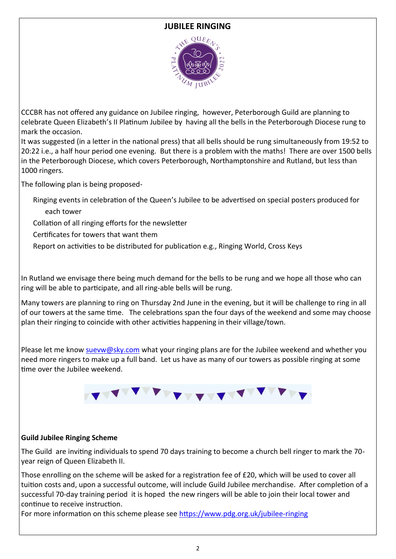### **JUBILEE RINGING**



CCCBR has not offered any guidance on Jubilee ringing, however, Peterborough Guild are planning to celebrate Queen Elizabeth's II Platinum Jubilee by having all the bells in the Peterborough Diocese rung to mark the occasion.

It was suggested (in a letter in the national press) that all bells should be rung simultaneously from 19:52 to 20:22 i.e., a half hour period one evening. But there is a problem with the maths! There are over 1500 bells in the Peterborough Diocese, which covers Peterborough, Northamptonshire and Rutland, but less than 1000 ringers.

The following plan is being proposed-

Ringing events in celebration of the Queen's Jubilee to be advertised on special posters produced for each tower

Collation of all ringing efforts for the newsletter

Certificates for towers that want them

Report on activities to be distributed for publication e.g., Ringing World, Cross Keys

In Rutland we envisage there being much demand for the bells to be rung and we hope all those who can ring will be able to participate, and all ring-able bells will be rung.

Many towers are planning to ring on Thursday 2nd June in the evening, but it will be challenge to ring in all of our towers at the same time. The celebrations span the four days of the weekend and some may choose plan their ringing to coincide with other activities happening in their village/town.

Please let me know [suevw@sky.com](mailto:suevw@sky.com) what your ringing plans are for the Jubilee weekend and whether you need more ringers to make up a full band. Let us have as many of our towers as possible ringing at some time over the Jubilee weekend.



#### **Guild Jubilee Ringing Scheme**

The Guild are inviting individuals to spend 70 days training to become a church bell ringer to mark the 70 year reign of Queen Elizabeth II.

Those enrolling on the scheme will be asked for a registration fee of £20, which will be used to cover all tuition costs and, upon a successful outcome, will include Guild Jubilee merchandise. After completion of a successful 70-day training period it is hoped the new ringers will be able to join their local tower and continue to receive instruction.

For more information on this scheme please see [https://www.pdg.org.uk/jubilee](https://www.pdg.org.uk/jubilee-ringing)-ringing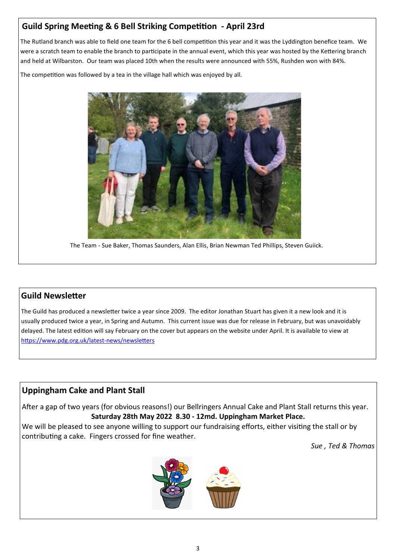# **Guild Spring Meeting & 6 Bell Striking Competition - April 23rd**

The Rutland branch was able to field one team for the 6 bell competition this year and it was the Lyddington benefice team. We were a scratch team to enable the branch to participate in the annual event, which this year was hosted by the Kettering branch and held at Wilbarston. Our team was placed 10th when the results were announced with 55%, Rushden won with 84%.

The competition was followed by a tea in the village hall which was enjoyed by all.



The Team - Sue Baker, Thomas Saunders, Alan Ellis, Brian Newman Ted Phillips, Steven Guiick.

### **Guild Newsletter**

The Guild has produced a newsletter twice a year since 2009. The editor Jonathan Stuart has given it a new look and it is usually produced twice a year, in Spring and Autumn. This current issue was due for release in February, but was unavoidably delayed. The latest edition will say February on the cover but appears on the website under April. It is available to view at [https://www.pdg.org.uk/latest](https://www.pdg.org.uk/latest-news/newsletters)-news/newsletters

### **Uppingham Cake and Plant Stall**

After a gap of two years (for obvious reasons!) our Bellringers Annual Cake and Plant Stall returns this year. **Saturday 28th May 2022 8.30 - 12md. Uppingham Market Place.**

We will be pleased to see anyone willing to support our fundraising efforts, either visiting the stall or by contributing a cake. Fingers crossed for fine weather.

*Sue , Ted & Thomas*